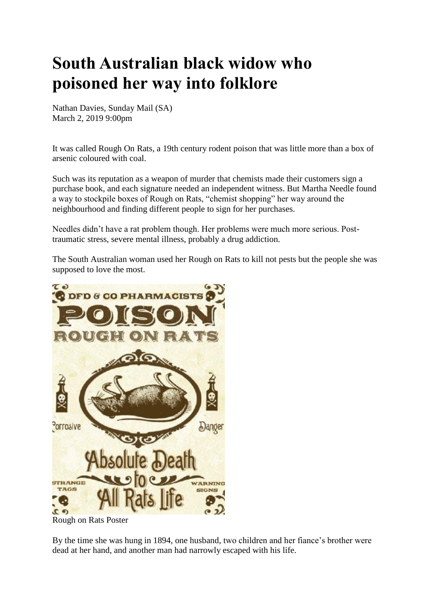# **South Australian black widow who poisoned her way into folklore**

Nathan Davies, Sunday Mail (SA) March 2, 2019 9:00pm

It was called Rough On Rats, a 19th century rodent poison that was little more than a box of arsenic coloured with coal.

Such was its reputation as a weapon of murder that chemists made their customers sign a purchase book, and each signature needed an independent witness. But Martha Needle found a way to stockpile boxes of Rough on Rats, "chemist shopping" her way around the neighbourhood and finding different people to sign for her purchases.

Needles didn't have a rat problem though. Her problems were much more serious. Posttraumatic stress, severe mental illness, probably a drug addiction.

The South Australian woman used her Rough on Rats to kill not pests but the people she was supposed to love the most.



Rough on Rats Poster

By the time she was hung in 1894, one husband, two children and her fiance's brother were dead at her hand, and another man had narrowly escaped with his life.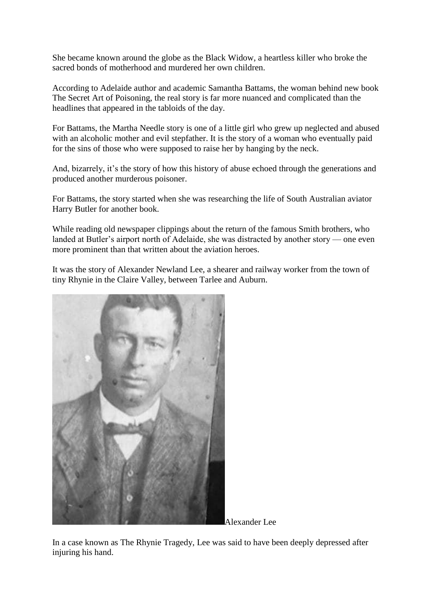She became known around the globe as the Black Widow, a heartless killer who broke the sacred bonds of motherhood and murdered her own children.

According to Adelaide author and academic Samantha Battams, the woman behind new book The Secret Art of Poisoning, the real story is far more nuanced and complicated than the headlines that appeared in the tabloids of the day.

For Battams, the Martha Needle story is one of a little girl who grew up neglected and abused with an alcoholic mother and evil stepfather. It is the story of a woman who eventually paid for the sins of those who were supposed to raise her by hanging by the neck.

And, bizarrely, it's the story of how this history of abuse echoed through the generations and produced another murderous poisoner.

For Battams, the story started when she was researching the life of South Australian aviator Harry Butler for another book.

While reading old newspaper clippings about the return of the famous Smith brothers, who landed at Butler's airport north of Adelaide, she was distracted by another story — one even more prominent than that written about the aviation heroes.

It was the story of Alexander Newland Lee, a shearer and railway worker from the town of tiny Rhynie in the Claire Valley, between Tarlee and Auburn.



Alexander Lee

In a case known as The Rhynie Tragedy, Lee was said to have been deeply depressed after injuring his hand.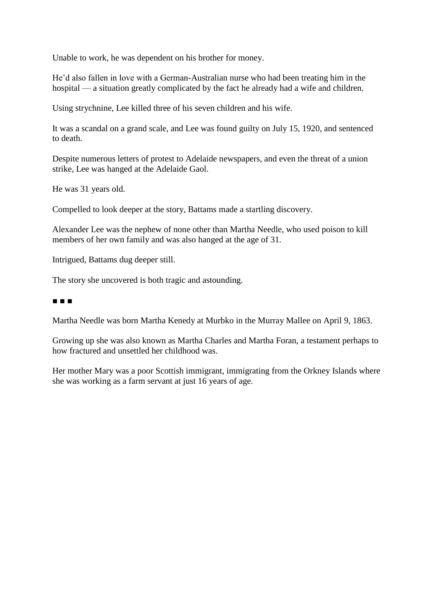Unable to work, he was dependent on his brother for money.

He'd also fallen in love with a German-Australian nurse who had been treating him in the hospital — a situation greatly complicated by the fact he already had a wife and children.

Using strychnine, Lee killed three of his seven children and his wife.

It was a scandal on a grand scale, and Lee was found guilty on July 15, 1920, and sentenced to death.

Despite numerous letters of protest to Adelaide newspapers, and even the threat of a union strike, Lee was hanged at the Adelaide Gaol.

He was 31 years old.

Compelled to look deeper at the story, Battams made a startling discovery.

Alexander Lee was the nephew of none other than Martha Needle, who used poison to kill members of her own family and was also hanged at the age of 31.

Intrigued, Battams dug deeper still.

The story she uncovered is both tragic and astounding.

# ■ ■ ■

Martha Needle was born Martha Kenedy at Murbko in the Murray Mallee on April 9, 1863.

Growing up she was also known as Martha Charles and Martha Foran, a testament perhaps to how fractured and unsettled her childhood was.

Her mother Mary was a poor Scottish immigrant, immigrating from the Orkney Islands where she was working as a farm servant at just 16 years of age.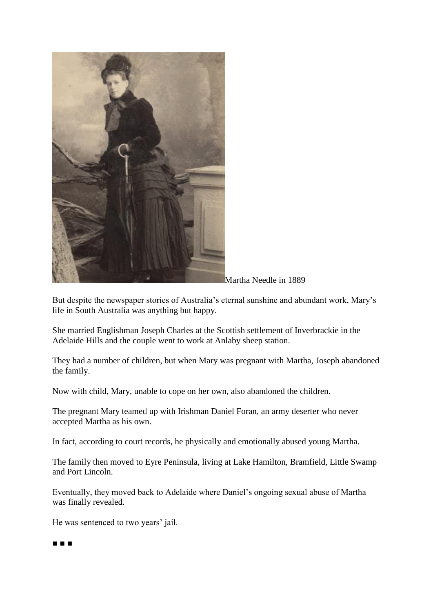

Martha Needle in 1889

But despite the newspaper stories of Australia's eternal sunshine and abundant work, Mary's life in South Australia was anything but happy.

She married Englishman Joseph Charles at the Scottish settlement of Inverbrackie in the Adelaide Hills and the couple went to work at Anlaby sheep station.

They had a number of children, but when Mary was pregnant with Martha, Joseph abandoned the family.

Now with child, Mary, unable to cope on her own, also abandoned the children.

The pregnant Mary teamed up with Irishman Daniel Foran, an army deserter who never accepted Martha as his own.

In fact, according to court records, he physically and emotionally abused young Martha.

The family then moved to Eyre Peninsula, living at Lake Hamilton, Bramfield, Little Swamp and Port Lincoln.

Eventually, they moved back to Adelaide where Daniel's ongoing sexual abuse of Martha was finally revealed.

He was sentenced to two years' jail.

#### ■ ■ ■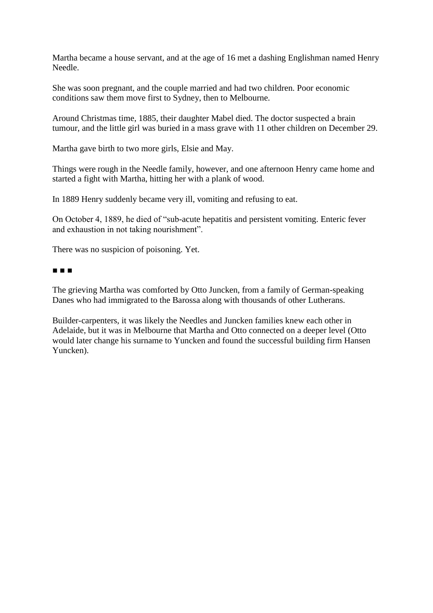Martha became a house servant, and at the age of 16 met a dashing Englishman named Henry Needle.

She was soon pregnant, and the couple married and had two children. Poor economic conditions saw them move first to Sydney, then to Melbourne.

Around Christmas time, 1885, their daughter Mabel died. The doctor suspected a brain tumour, and the little girl was buried in a mass grave with 11 other children on December 29.

Martha gave birth to two more girls, Elsie and May.

Things were rough in the Needle family, however, and one afternoon Henry came home and started a fight with Martha, hitting her with a plank of wood.

In 1889 Henry suddenly became very ill, vomiting and refusing to eat.

On October 4, 1889, he died of "sub-acute hepatitis and persistent vomiting. Enteric fever and exhaustion in not taking nourishment".

There was no suspicion of poisoning. Yet.

### ■ ■ ■

The grieving Martha was comforted by Otto Juncken, from a family of German-speaking Danes who had immigrated to the Barossa along with thousands of other Lutherans.

Builder-carpenters, it was likely the Needles and Juncken families knew each other in Adelaide, but it was in Melbourne that Martha and Otto connected on a deeper level (Otto would later change his surname to Yuncken and found the successful building firm Hansen Yuncken).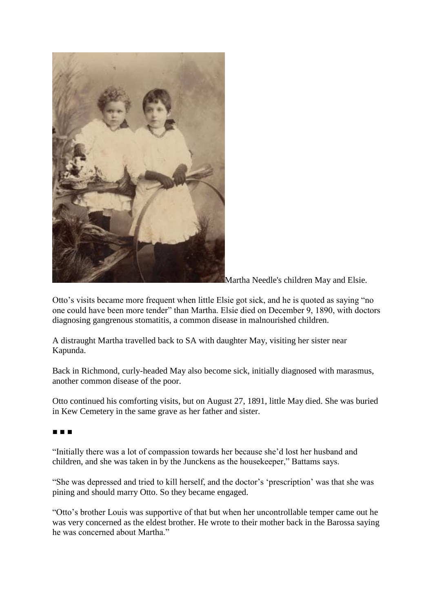

Martha Needle's children May and Elsie.

Otto's visits became more frequent when little Elsie got sick, and he is quoted as saying "no one could have been more tender" than Martha. Elsie died on December 9, 1890, with doctors diagnosing gangrenous stomatitis, a common disease in malnourished children.

A distraught Martha travelled back to SA with daughter May, visiting her sister near Kapunda.

Back in Richmond, curly-headed May also become sick, initially diagnosed with marasmus, another common disease of the poor.

Otto continued his comforting visits, but on August 27, 1891, little May died. She was buried in Kew Cemetery in the same grave as her father and sister.

■ ■ ■

"Initially there was a lot of compassion towards her because she'd lost her husband and children, and she was taken in by the Junckens as the housekeeper," Battams says.

"She was depressed and tried to kill herself, and the doctor's 'prescription' was that she was pining and should marry Otto. So they became engaged.

"Otto's brother Louis was supportive of that but when her uncontrollable temper came out he was very concerned as the eldest brother. He wrote to their mother back in the Barossa saying he was concerned about Martha."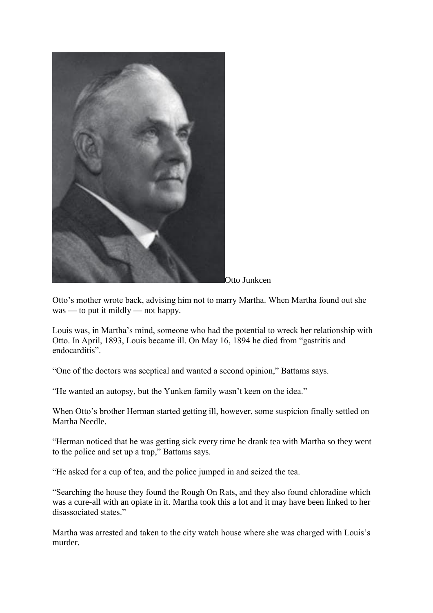

Otto Junkcen

Otto's mother wrote back, advising him not to marry Martha. When Martha found out she was — to put it mildly — not happy.

Louis was, in Martha's mind, someone who had the potential to wreck her relationship with Otto. In April, 1893, Louis became ill. On May 16, 1894 he died from "gastritis and endocarditis".

"One of the doctors was sceptical and wanted a second opinion," Battams says.

"He wanted an autopsy, but the Yunken family wasn't keen on the idea."

When Otto's brother Herman started getting ill, however, some suspicion finally settled on Martha Needle.

"Herman noticed that he was getting sick every time he drank tea with Martha so they went to the police and set up a trap," Battams says.

"He asked for a cup of tea, and the police jumped in and seized the tea.

"Searching the house they found the Rough On Rats, and they also found chloradine which was a cure-all with an opiate in it. Martha took this a lot and it may have been linked to her disassociated states."

Martha was arrested and taken to the city watch house where she was charged with Louis's murder.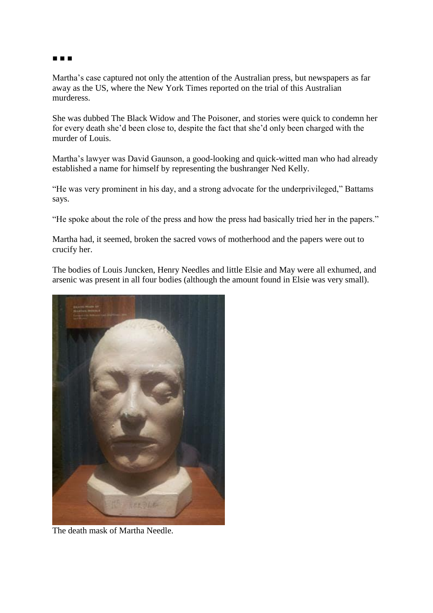#### ■ ■ ■

Martha's case captured not only the attention of the Australian press, but newspapers as far away as the US, where the New York Times reported on the trial of this Australian murderess.

She was dubbed The Black Widow and The Poisoner, and stories were quick to condemn her for every death she'd been close to, despite the fact that she'd only been charged with the murder of Louis.

Martha's lawyer was David Gaunson, a good-looking and quick-witted man who had already established a name for himself by representing the bushranger Ned Kelly.

"He was very prominent in his day, and a strong advocate for the underprivileged," Battams says.

"He spoke about the role of the press and how the press had basically tried her in the papers."

Martha had, it seemed, broken the sacred vows of motherhood and the papers were out to crucify her.

The bodies of Louis Juncken, Henry Needles and little Elsie and May were all exhumed, and arsenic was present in all four bodies (although the amount found in Elsie was very small).



The death mask of Martha Needle.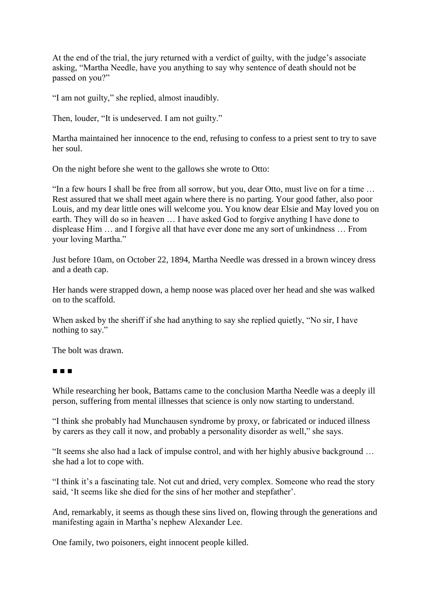At the end of the trial, the jury returned with a verdict of guilty, with the judge's associate asking, "Martha Needle, have you anything to say why sentence of death should not be passed on you?"

"I am not guilty," she replied, almost inaudibly.

Then, louder, "It is undeserved. I am not guilty."

Martha maintained her innocence to the end, refusing to confess to a priest sent to try to save her soul.

On the night before she went to the gallows she wrote to Otto:

"In a few hours I shall be free from all sorrow, but you, dear Otto, must live on for a time … Rest assured that we shall meet again where there is no parting. Your good father, also poor Louis, and my dear little ones will welcome you. You know dear Elsie and May loved you on earth. They will do so in heaven … I have asked God to forgive anything I have done to displease Him … and I forgive all that have ever done me any sort of unkindness … From your loving Martha."

Just before 10am, on October 22, 1894, Martha Needle was dressed in a brown wincey dress and a death cap.

Her hands were strapped down, a hemp noose was placed over her head and she was walked on to the scaffold.

When asked by the sheriff if she had anything to say she replied quietly, "No sir, I have nothing to say."

The bolt was drawn.

# ■ ■ ■

While researching her book, Battams came to the conclusion Martha Needle was a deeply ill person, suffering from mental illnesses that science is only now starting to understand.

"I think she probably had Munchausen syndrome by proxy, or fabricated or induced illness by carers as they call it now, and probably a personality disorder as well," she says.

"It seems she also had a lack of impulse control, and with her highly abusive background … she had a lot to cope with.

"I think it's a fascinating tale. Not cut and dried, very complex. Someone who read the story said, 'It seems like she died for the sins of her mother and stepfather'.

And, remarkably, it seems as though these sins lived on, flowing through the generations and manifesting again in Martha's nephew Alexander Lee.

One family, two poisoners, eight innocent people killed.